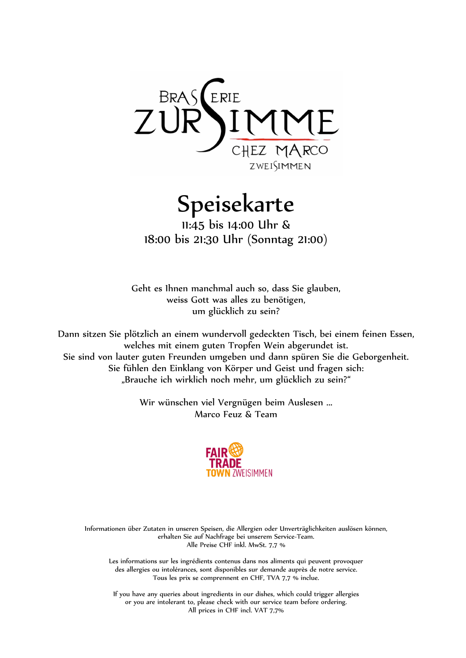

Speisekarte

11:45 bis 14:00 Uhr & 18:00 bis 21:30 Uhr (Sonntag 21:00)

Geht es Ihnen manchmal auch so, dass Sie glauben, weiss Gott was alles zu benötigen, um glücklich zu sein?

Dann sitzen Sie plötzlich an einem wundervoll gedeckten Tisch, bei einem feinen Essen, welches mit einem guten Tropfen Wein abgerundet ist. Sie sind von lauter guten Freunden umgeben und dann spüren Sie die Geborgenheit. Sie fühlen den Einklang von Körper und Geist und fragen sich: "Brauche ich wirklich noch mehr, um glücklich zu sein?"

> Wir wünschen viel Vergnügen beim Auslesen ... Marco Feuz & Team



Informationen über Zutaten in unseren Speisen, die Allergien oder Unverträglichkeiten auslösen können, erhalten Sie auf Nachfrage bei unserem Service-Team. Alle Preise CHF inkl. MwSt. 7,7 %

Les informations sur les ingrédients contenus dans nos aliments qui peuvent provoquer des allergies ou intolérances, sont disponibles sur demande auprès de notre service. Tous les prix se comprennent en CHF, TVA 7,7 % inclue.

If you have any queries about ingredients in our dishes, which could trigger allergies or you are intolerant to, please check with our service team before ordering. All prices in CHF incl. VAT 7,7%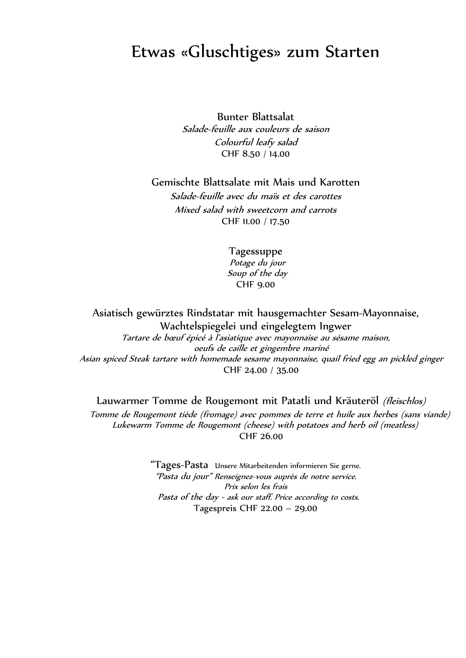## Etwas «Gluschtiges» zum Starten

Bunter Blattsalat Salade-feuille aux couleurs de saison Colourful leafy salad CHF 8.50 / 14.00

Gemischte Blattsalate mit Mais und Karotten

Salade-feuille avec du maïs et des carottes Mixed salad with sweetcorn and carrots CHF 11.00 / 17.50

> Tagessuppe Potage du jour Soup of the day CHF 9.00

Asiatisch gewürztes Rindstatar mit hausgemachter Sesam-Mayonnaise, Wachtelspiegelei und eingelegtem Ingwer Tartare de bœuf épicé à l'asiatique avec mayonnaise au sésame maison, oeufs de caille et gingembre mariné Asian spiced Steak tartare with homemade sesame mayonnaise, quail fried egg an pickled ginger CHF 24.00 / 35.00

Lauwarmer Tomme de Rougemont mit Patatli und Kräuteröl (*fleischlos*)

Tomme de Rougemont tiède (fromage) avec pommes de terre et huile aux herbes (sans viande) Lukewarm Tomme de Rougemont (cheese) with potatoes and herb oil (meatless) CHF 26.00

> "Tages-Pasta Unsere Mitarbeitenden informieren Sie gerne. "Pasta du jour" Renseignez-vous auprès de notre service. Prix selon les frais Pasta of the day - ask our staff. Price according to costs. Tagespreis CHF 22.00 – 29.00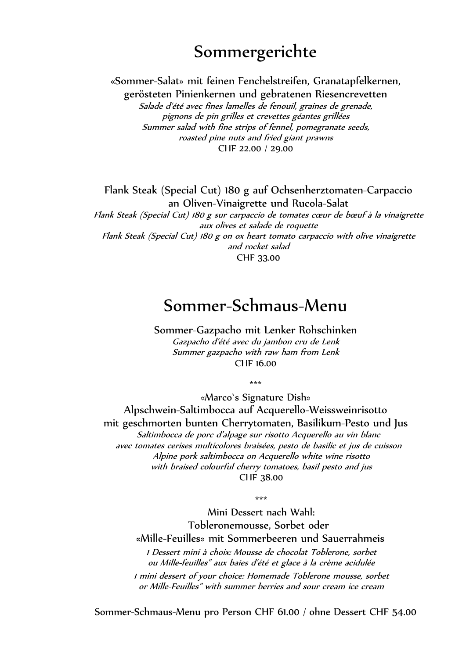## Sommergerichte

«Sommer-Salat» mit feinen Fenchelstreifen, Granatapfelkernen,

gerösteten Pinienkernen und gebratenen Riesencrevetten Salade d'été avec fines lamelles de fenouil, graines de grenade, pignons de pin grilles et crevettes géantes grillées Summer salad with fine strips of fennel, pomegranate seeds, roasted pine nuts and fried giant prawns

CHF 22.00 / 29.00

Flank Steak (Special Cut) 180 g auf Ochsenherztomaten-Carpaccio an Oliven-Vinaigrette und Rucola-Salat

Flank Steak (Special Cut) 180 g sur carpaccio de tomates cœur de bœuf à la vinaigrette aux olives et salade de roquette Flank Steak (Special Cut) 180 g on ox heart tomato carpaccio with olive vinaigrette and rocket salad CHF 33.00

### Sommer-Schmaus-Menu

Sommer-Gazpacho mit Lenker Rohschinken Gazpacho d'été avec du jambon cru de Lenk Summer gazpacho with raw ham from Lenk CHF 16.00

\*\*\*

«Marco`s Signature Dish» Alpschwein-Saltimbocca auf Acquerello-Weissweinrisotto

mit geschmorten bunten Cherrytomaten, Basilikum-Pesto und Jus Saltimbocca de porc d'alpage sur risotto Acquerello au vin blanc avec tomates cerises multicolores braisées, pesto de basilic et jus de cuisson Alpine pork saltimbocca on Acquerello white wine risotto with braised colourful cherry tomatoes, basil pesto and jus CHF 38.00

\*\*\*

Mini Dessert nach Wahl: Tobleronemousse, Sorbet oder «Mille-Feuilles» mit Sommerbeeren und Sauerrahmeis 1 Dessert mini à choix: Mousse de chocolat Toblerone, sorbet

ou Mille-feuilles" aux baies d'été et glace à la crème acidulée 1 mini dessert of your choice: Homemade Toblerone mousse, sorbet or Mille-Feuilles" with summer berries and sour cream ice cream

Sommer-Schmaus-Menu pro Person CHF 61.00 / ohne Dessert CHF 54.00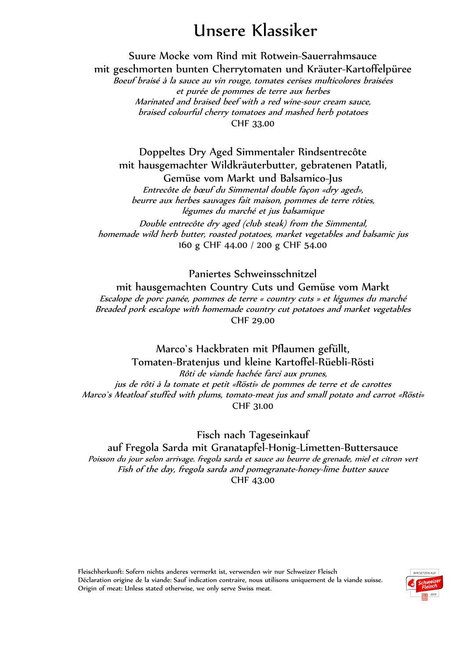# Unsere Klassiker

Suure Mocke vom Rind mit Rotwein-Sauerrahmsauce mit geschmorten bunten Cherrytomaten und Kräuter-Kartoffelpüree Boeuf braisé à la sauce au vin rouge, tomates cerises multicolores braisées et purée de pommes de terre aux herbes

Marinated and braised beef with a red wine-sour cream sauce, braised colourful cherry tomatoes and mashed herb potatoes CHF 33.00

Doppeltes Dry Aged Simmentaler Rindsentrecôte mit hausgemachter Wildkräuterbutter, gebratenen Patatli, Gemüse vom Markt und Balsamico-Jus Entrecôte de bœuf du Simmental double façon «dry aged», beurre aux herbes sauvages fait maison, pommes de terre rôties, légumes du marché et jus balsamique Double entrecôte dry aged (club steak) from the Simmental, homemade wild herb butter, roasted potatoes, market vegetables and balsamic jus 160 g CHF 44.00 / 200 g CHF 54.00

Paniertes Schweinsschnitzel

mit hausgemachten Country Cuts und Gemüse vom Markt Escalope de porc panée, pommes de terre « country cuts » et légumes du marché Breaded pork escalope with homemade country cut potatoes and market vegetables CHF 29.00

Marco`s Hackbraten mit Pflaumen gefüllt, Tomaten-Bratenjus und kleine Kartoffel-Rüebli-Rösti Rôti de viande hachée farci aux prunes, jus de rôti à la tomate et petit «Rösti» de pommes de terre et de carottes Marco`s Meatloaf stuffed with plums, tomato-meat jus and small potato and carrot «Rösti» CHF 31.00

Fisch nach Tageseinkauf auf Fregola Sarda mit Granatapfel-Honig-Limetten-Buttersauce Poisson du jour selon arrivage. fregola sarda et sauce au beurre de grenade, miel et citron vert Fish of the day, fregola sarda and pomegranate-honey-lime butter sauce CHF 43.00

Fleischherkunft: Sofern nichts anderes vermerkt ist, verwenden wir nur Schweizer Fleisch Déclaration origine de la viande: Sauf indication contraire, nous utilisons uniquement de la viande suisse. Origin of meat: Unless stated otherwise, we only serve Swiss meat.

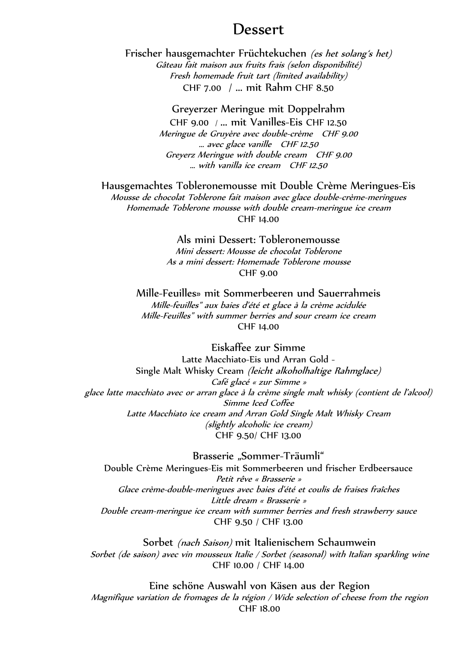#### Dessert

Frischer hausgemachter Früchtekuchen (es het solang's het) Gâteau fait maison aux fruits frais (selon disponibilité) Fresh homemade fruit tart (limited availability) CHF 7.00 / ... mit Rahm CHF 8.50

Greyerzer Meringue mit Doppelrahm

CHF 9.00 / ... mit Vanilles-Eis CHF 12.50 Meringue de Gruyère avec double-crème CHF 9.00 … avec glace vanille CHF 12.50 Greyerz Meringue with double cream CHF 9.00 … with vanilla ice cream CHF 12.50

Hausgemachtes Tobleronemousse mit Double Crème Meringues-Eis Mousse de chocolat Toblerone fait maison avec glace double-crème-meringues

Homemade Toblerone mousse with double cream-meringue ice cream CHF 14.00

#### Als mini Dessert: Tobleronemousse

Mini dessert: Mousse de chocolat Toblerone As a mini dessert: Homemade Toblerone mousse CHF 9.00

Mille-Feuilles» mit Sommerbeeren und Sauerrahmeis Mille-feuilles" aux baies d'été et glace à la crème acidulée Mille-Feuilles" with summer berries and sour cream ice cream CHF 14.00

Eiskaffee zur Simme Latte Macchiato-Eis und Arran Gold - Single Malt Whisky Cream (leicht alkoholhaltige Rahmglace) Café glacé « zur Simme » glace latte macchiato avec or arran glace à la crème single malt whisky (contient de l'alcool) Simme Iced Coffee Latte Macchiato ice cream and Arran Gold Single Malt Whisky Cream (slightly alcoholic ice cream) CHF 9.50/ CHF 13.00

Brasserie "Sommer-Träumli" Double Crème Meringues-Eis mit Sommerbeeren und frischer Erdbeersauce Petit rêve « Brasserie » Glace crème-double-meringues avec baies d'été et coulis de fraises fraîches Little dream « Brasserie » Double cream-meringue ice cream with summer berries and fresh strawberry sauce CHF 9.50 / CHF 13.00

Sorbet (nach Saison) mit Italienischem Schaumwein Sorbet (de saison) avec vin mousseux Italie / Sorbet (seasonal) with Italian sparkling wine CHF 10.00 / CHF 14.00

Eine schöne Auswahl von Käsen aus der Region Magnifique variation de fromages de la région / Wide selection of cheese from the region CHF 18.00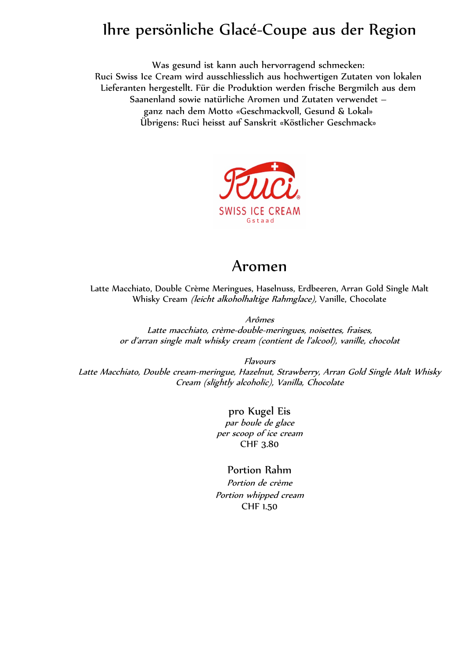## Ihre persönliche Glacé-Coupe aus der Region

Was gesund ist kann auch hervorragend schmecken: Ruci Swiss Ice Cream wird ausschliesslich aus hochwertigen Zutaten von lokalen Lieferanten hergestellt. Für die Produktion werden frische Bergmilch aus dem Saanenland sowie natürliche Aromen und Zutaten verwendet – ganz nach dem Motto «Geschmackvoll, Gesund & Lokal» Übrigens: Ruci heisst auf Sanskrit «Köstlicher Geschmack»



### Aromen

Latte Macchiato, Double Crème Meringues, Haselnuss, Erdbeeren, Arran Gold Single Malt Whisky Cream (leicht alkoholhaltige Rahmglace), Vanille, Chocolate

Arômes

Latte macchiato, crème-double-meringues, noisettes, fraises, or d'arran single malt whisky cream (contient de l'alcool), vanille, chocolat

Flavours

Latte Macchiato, Double cream-meringue, Hazelnut, Strawberry, Arran Gold Single Malt Whisky Cream (slightly alcoholic), Vanilla, Chocolate

> pro Kugel Eis par boule de glace per scoop of ice cream CHF 3.80

#### Portion Rahm

Portion de crème Portion whipped cream CHF 1.50